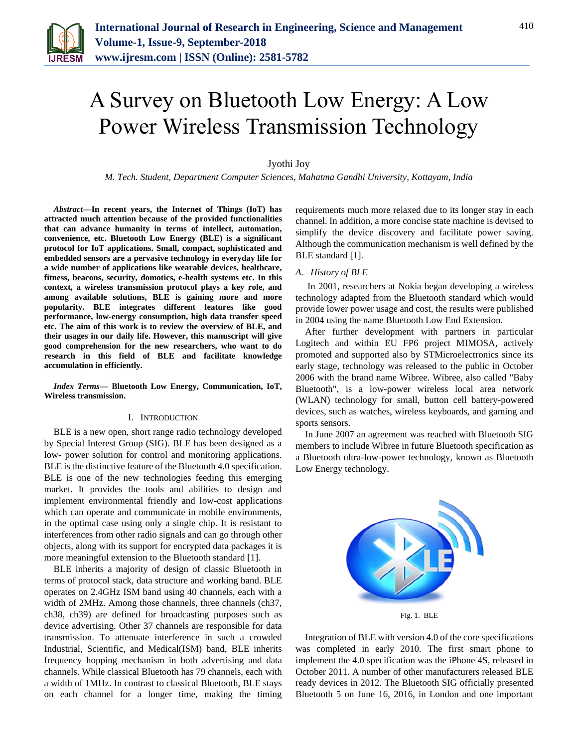

# A Survey on Bluetooth Low Energy: A Low Power Wireless Transmission Technology

## Jyothi Joy

*M. Tech. Student, Department Computer Sciences, Mahatma Gandhi University, Kottayam, India*

*Abstract***—In recent years, the Internet of Things (IoT) has attracted much attention because of the provided functionalities that can advance humanity in terms of intellect, automation, convenience, etc. Bluetooth Low Energy (BLE) is a significant protocol for IoT applications. Small, compact, sophisticated and embedded sensors are a pervasive technology in everyday life for a wide number of applications like wearable devices, healthcare, fitness, beacons, security, domotics, e-health systems etc. In this context, a wireless transmission protocol plays a key role, and among available solutions, BLE is gaining more and more popularity. BLE integrates different features like good performance, low-energy consumption, high data transfer speed etc. The aim of this work is to review the overview of BLE, and their usages in our daily life. However, this manuscript will give good comprehension for the new researchers, who want to do research in this field of BLE and facilitate knowledge accumulation in efficiently.**

*Index Terms***— Bluetooth Low Energy, Communication, IoT, Wireless transmission.**

#### I. INTRODUCTION

BLE is a new open, short range radio technology developed by Special Interest Group (SIG). BLE has been designed as a low- power solution for control and monitoring applications. BLE is the distinctive feature of the Bluetooth 4.0 specification. BLE is one of the new technologies feeding this emerging market. It provides the tools and abilities to design and implement environmental friendly and low-cost applications which can operate and communicate in mobile environments, in the optimal case using only a single chip. It is resistant to interferences from other radio signals and can go through other objects, along with its support for encrypted data packages it is more meaningful extension to the Bluetooth standard [1].

BLE inherits a majority of design of classic Bluetooth in terms of protocol stack, data structure and working band. BLE operates on 2.4GHz ISM band using 40 channels, each with a width of 2MHz. Among those channels, three channels (ch37, ch38, ch39) are defined for broadcasting purposes such as device advertising. Other 37 channels are responsible for data transmission. To attenuate interference in such a crowded Industrial, Scientific, and Medical(ISM) band, BLE inherits frequency hopping mechanism in both advertising and data channels. While classical Bluetooth has 79 channels, each with a width of 1MHz. In contrast to classical Bluetooth, BLE stays on each channel for a longer time, making the timing

requirements much more relaxed due to its longer stay in each channel. In addition, a more concise state machine is devised to simplify the device discovery and facilitate power saving. Although the communication mechanism is well defined by the BLE standard [1].

## *A. History of BLE*

In 2001, researchers at Nokia began developing a wireless technology adapted from the Bluetooth standard which would provide lower power usage and cost, the results were published in 2004 using the name Bluetooth Low End Extension.

After further development with partners in particular Logitech and within EU FP6 project MIMOSA, actively promoted and supported also by STMicroelectronics since its early stage, technology was released to the public in October 2006 with the brand name Wibree. Wibree, also called "Baby Bluetooth", is a low-power wireless local area network (WLAN) technology for small, button cell battery-powered devices, such as watches, wireless keyboards, and gaming and sports sensors.

In June 2007 an agreement was reached with Bluetooth SIG members to include Wibree in future Bluetooth specification as a Bluetooth ultra-low-power technology, known as Bluetooth Low Energy technology.



Fig. 1. BLE

Integration of BLE with version 4.0 of the core specifications was completed in early 2010. The first smart phone to implement the 4.0 specification was the iPhone 4S, released in October 2011. A number of other manufacturers released BLE ready devices in 2012. The Bluetooth SIG officially presented Bluetooth 5 on June 16, 2016, in London and one important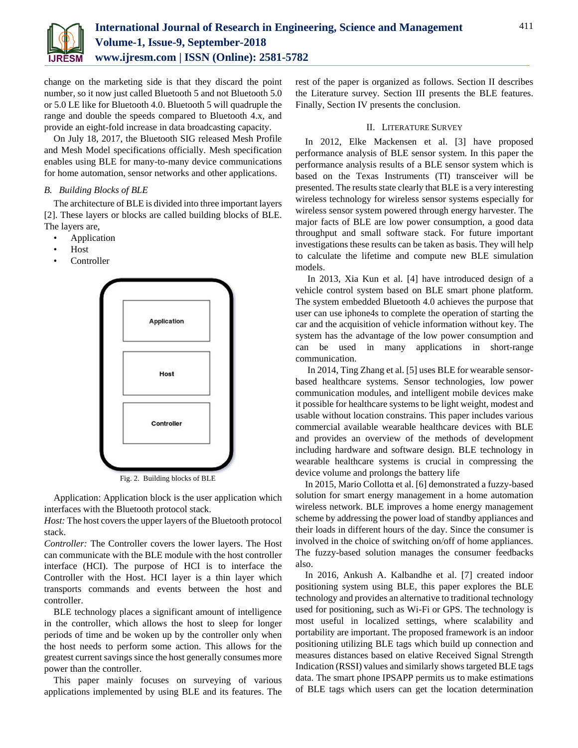

change on the marketing side is that they discard the point number, so it now just called Bluetooth 5 and not Bluetooth 5.0 or 5.0 LE like for Bluetooth 4.0. Bluetooth 5 will quadruple the range and double the speeds compared to Bluetooth 4.x, and provide an eight-fold increase in data broadcasting capacity.

On July 18, 2017, the Bluetooth SIG released Mesh Profile and Mesh Model specifications officially. Mesh specification enables using BLE for many-to-many device communications for home automation, sensor networks and other applications.

## *B. Building Blocks of BLE*

The architecture of BLE is divided into three important layers [2]. These layers or blocks are called building blocks of BLE. The layers are,

- **Application**
- Host
- **Controller**



Fig. 2. Building blocks of BLE

Application: Application block is the user application which interfaces with the Bluetooth protocol stack.

*Host:* The host covers the upper layers of the Bluetooth protocol stack.

*Controller:* The Controller covers the lower layers. The Host can communicate with the BLE module with the host controller interface (HCI). The purpose of HCI is to interface the Controller with the Host. HCI layer is a thin layer which transports commands and events between the host and controller.

BLE technology places a significant amount of intelligence in the controller, which allows the host to sleep for longer periods of time and be woken up by the controller only when the host needs to perform some action. This allows for the greatest current savings since the host generally consumes more power than the controller.

This paper mainly focuses on surveying of various applications implemented by using BLE and its features. The

rest of the paper is organized as follows. Section II describes the Literature survey. Section III presents the BLE features. Finally, Section IV presents the conclusion.

## II. LITERATURE SURVEY

In 2012, Elke Mackensen et al. [3] have proposed performance analysis of BLE sensor system. In this paper the performance analysis results of a BLE sensor system which is based on the Texas Instruments (TI) transceiver will be presented. The results state clearly that BLE is a very interesting wireless technology for wireless sensor systems especially for wireless sensor system powered through energy harvester. The major facts of BLE are low power consumption, a good data throughput and small software stack. For future important investigations these results can be taken as basis. They will help to calculate the lifetime and compute new BLE simulation models.

In 2013, Xia Kun et al. [4] have introduced design of a vehicle control system based on BLE smart phone platform. The system embedded Bluetooth 4.0 achieves the purpose that user can use iphone4s to complete the operation of starting the car and the acquisition of vehicle information without key. The system has the advantage of the low power consumption and can be used in many applications in short-range communication.

In 2014, Ting Zhang et al. [5] uses BLE for wearable sensorbased healthcare systems. Sensor technologies, low power communication modules, and intelligent mobile devices make it possible for healthcare systems to be light weight, modest and usable without location constrains. This paper includes various commercial available wearable healthcare devices with BLE and provides an overview of the methods of development including hardware and software design. BLE technology in wearable healthcare systems is crucial in compressing the device volume and prolongs the battery life

In 2015, Mario Collotta et al. [6] demonstrated a fuzzy-based solution for smart energy management in a home automation wireless network. BLE improves a home energy management scheme by addressing the power load of standby appliances and their loads in different hours of the day. Since the consumer is involved in the choice of switching on/off of home appliances. The fuzzy-based solution manages the consumer feedbacks also.

In 2016, Ankush A. Kalbandhe et al. [7] created indoor positioning system using BLE, this paper explores the BLE technology and provides an alternative to traditional technology used for positioning, such as Wi-Fi or GPS. The technology is most useful in localized settings, where scalability and portability are important. The proposed framework is an indoor positioning utilizing BLE tags which build up connection and measures distances based on elative Received Signal Strength Indication (RSSI) values and similarly shows targeted BLE tags data. The smart phone IPSAPP permits us to make estimations of BLE tags which users can get the location determination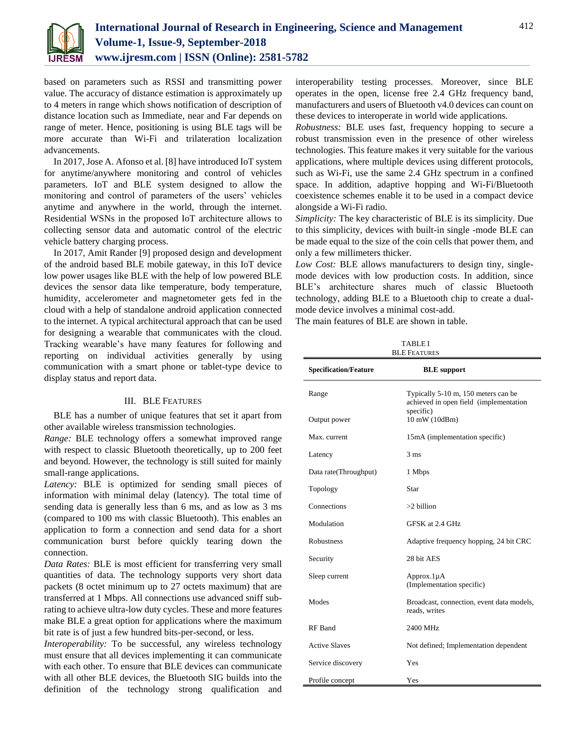

based on parameters such as RSSI and transmitting power value. The accuracy of distance estimation is approximately up to 4 meters in range which shows notification of description of distance location such as Immediate, near and Far depends on range of meter. Hence, positioning is using BLE tags will be more accurate than Wi-Fi and trilateration localization advancements.

In 2017, Jose A. Afonso et al. [8] have introduced IoT system for anytime/anywhere monitoring and control of vehicles parameters. IoT and BLE system designed to allow the monitoring and control of parameters of the users' vehicles anytime and anywhere in the world, through the internet. Residential WSNs in the proposed IoT architecture allows to collecting sensor data and automatic control of the electric vehicle battery charging process.

In 2017, Amit Rander [9] proposed design and development of the android based BLE mobile gateway, in this IoT device low power usages like BLE with the help of low powered BLE devices the sensor data like temperature, body temperature, humidity, accelerometer and magnetometer gets fed in the cloud with a help of standalone android application connected to the internet. A typical architectural approach that can be used for designing a wearable that communicates with the cloud. Tracking wearable's have many features for following and reporting on individual activities generally by using communication with a smart phone or tablet-type device to display status and report data.

### III. BLE FEATURES

BLE has a number of unique features that set it apart from other available wireless transmission technologies.

*Range:* BLE technology offers a somewhat improved range with respect to classic Bluetooth theoretically, up to 200 feet and beyond. However, the technology is still suited for mainly small-range applications.

Latency: BLE is optimized for sending small pieces of information with minimal delay (latency). The total time of sending data is generally less than 6 ms, and as low as 3 ms (compared to 100 ms with classic Bluetooth). This enables an application to form a connection and send data for a short communication burst before quickly tearing down the connection.

*Data Rates:* BLE is most efficient for transferring very small quantities of data. The technology supports very short data packets (8 octet minimum up to 27 octets maximum) that are transferred at 1 Mbps. All connections use advanced sniff subrating to achieve ultra-low duty cycles. These and more features make BLE a great option for applications where the maximum bit rate is of just a few hundred bits-per-second, or less.

*Interoperability:* To be successful, any wireless technology must ensure that all devices implementing it can communicate with each other. To ensure that BLE devices can communicate with all other BLE devices, the Bluetooth SIG builds into the definition of the technology strong qualification and interoperability testing processes. Moreover, since BLE operates in the open, license free 2.4 GHz frequency band, manufacturers and users of Bluetooth v4.0 devices can count on these devices to interoperate in world wide applications.

*Robustness:* BLE uses fast, frequency hopping to secure a robust transmission even in the presence of other wireless technologies. This feature makes it very suitable for the various applications, where multiple devices using different protocols, such as Wi-Fi, use the same 2.4 GHz spectrum in a confined space. In addition, adaptive hopping and Wi-Fi/Bluetooth coexistence schemes enable it to be used in a compact device alongside a Wi-Fi radio.

*Simplicity:* The key characteristic of BLE is its simplicity. Due to this simplicity, devices with built-in single -mode BLE can be made equal to the size of the coin cells that power them, and only a few millimeters thicker.

*Low Cost:* BLE allows manufacturers to design tiny, singlemode devices with low production costs. In addition, since BLE's architecture shares much of classic Bluetooth technology, adding BLE to a Bluetooth chip to create a dualmode device involves a minimal cost-add.

The main features of BLE are shown in table.

TABLE I BLE FEATURES

| <b>Specification/Feature</b> | <b>BLE</b> support                                                            |
|------------------------------|-------------------------------------------------------------------------------|
| Range                        | Typically 5-10 m, 150 meters can be<br>achieved in open field (implementation |
| Output power                 | specific)<br>10 mW (10dBm)                                                    |
| Max. current                 | 15mA (implementation specific)                                                |
| Latency                      | $3 \text{ ms}$                                                                |
| Data rate(Throughput)        | 1 Mbps                                                                        |
| Topology                     | Star                                                                          |
| Connections                  | $>2$ billion                                                                  |
| Modulation                   | GFSK at 2.4 GHz                                                               |
| <b>Robustness</b>            | Adaptive frequency hopping, 24 bit CRC                                        |
| Security                     | 28 bit AES                                                                    |
| Sleep current                | Approx.1µA<br>(Implementation specific)                                       |
| Modes                        | Broadcast, connection, event data models,<br>reads, writes                    |
| <b>RF</b> Band               | 2400 MHz                                                                      |
| <b>Active Slaves</b>         | Not defined; Implementation dependent                                         |
| Service discovery            | Yes                                                                           |
| Profile concept              | Yes                                                                           |